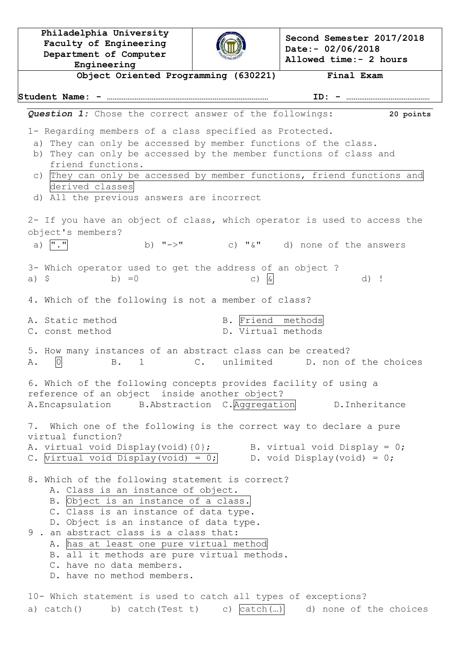**Philadelphia University Faculty of Engineering Department of Computer Engineering Second Semester 2017/2018 Date:- 02/06/2018 Allowed time:- 2 hours Object Oriented Programming (630221) Final Exam Student Name: - …………………………………………………………………………… ID: - ………………………………………** *Question 1:* Chose the correct answer of the followings: **20 points** 1- Regarding members of a class specified as Protected. a) They can only be accessed by member functions of the class. b) They can only be accessed by the member functions of class and friend functions. c) They can only be accessed by member functions, friend functions and derived classes d) All the previous answers are incorrect 2- If you have an object of class, which operator is used to access the object's members? a)  $\overline{'' \cdot "}$  b)  $\overline{'' \cdot \ }''$  c)  $\overline{``} \& \overline{''}$  d) none of the answers 3- Which operator used to get the address of an object ? a)  $\zeta$  b) =0 c)  $\boxed{\alpha}$  d) ! 4. Which of the following is not a member of class? A. Static method B. Friend methods C. const method D. Virtual methods 5. How many instances of an abstract class can be created? A.  $\boxed{0}$  B. 1 C. unlimited D. non of the choices 6. Which of the following concepts provides facility of using a reference of an object inside another object? A.Encapsulation B.Abstraction C.Aggregation D.Inheritance 7. Which one of the following is the correct way to declare a pure virtual function? A. virtual void Display(void) ${0}$ ; B. virtual void Display = 0; C. virtual void Display(void) = 0; D. void Display(void) = 0; 8. Which of the following statement is correct? A. Class is an instance of object. B. Object is an instance of a class. C. Class is an instance of data type. D. Object is an instance of data type. 9 . an abstract class is a class that: A. has at least one pure virtual method B. all it methods are pure virtual methods. C. have no data members. D. have no method members. 10- Which statement is used to catch all types of exceptions? a) catch() b) catch(Test t) c)  $| \c{catch(}...)|$  d) none of the choices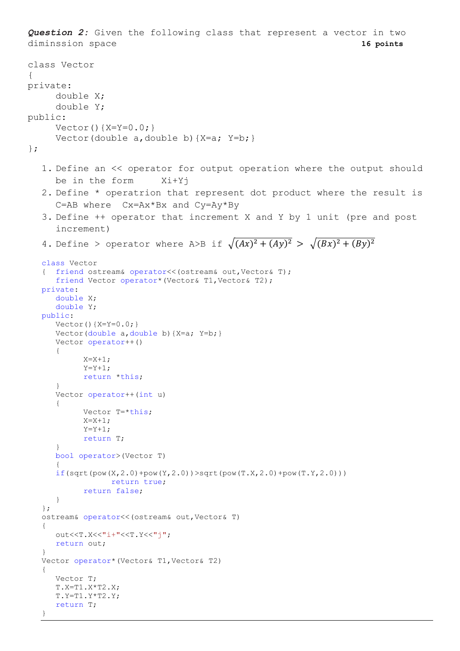*Question 2:* Given the following class that represent a vector in two diminssion space **16 points** class Vector { private: double X; double Y; public:  $Vector() {X=Y=0.0;}$ Vector(double a, double b)  $\{X=a; Y=b; \}$ }; 1. Define an << operator for output operation where the output should be in the form Xi+Yj 2. Define \* operatrion that represent dot product where the result is C=AB where Cx=Ax\*Bx and Cy=Ay\*By 3. Define ++ operator that increment X and Y by 1 unit (pre and post increment) 4. Define > operator where A>B if  $\sqrt{(Ax)^2 + (Ay)^2} > \sqrt{(Bx)^2 + (By)^2}$ class Vector { friend ostream& operator<<(ostream& out,Vector& T); friend Vector operator\*(Vector& T1,Vector& T2); private: double X; double Y; public:  $Vector() {X=Y=0.0; }$ Vector(double a, double b) {X=a; Y=b; } Vector operator++() {  $X = X + 1;$  $Y = Y + 1;$ return \*this; } Vector operator++(int u) { Vector T=\*this;  $X = X + 1;$  $Y = Y + 1$ : return T; } bool operator>(Vector T) {  $if(sqrt(pow(X, 2.0)+pow(Y, 2.0)))>sqrt(pow(T.X, 2.0)+pow(T.Y, 2.0)))$ return true; return false; } }; ostream& operator<<(ostream& out,Vector& T) { out<<T.X<<"i+"<<T.Y<<"j"; return out; } Vector operator\*(Vector& T1,Vector& T2) { Vector T; T.X=T1.X\*T2.X; T.Y=T1.Y\*T2.Y; return T;

}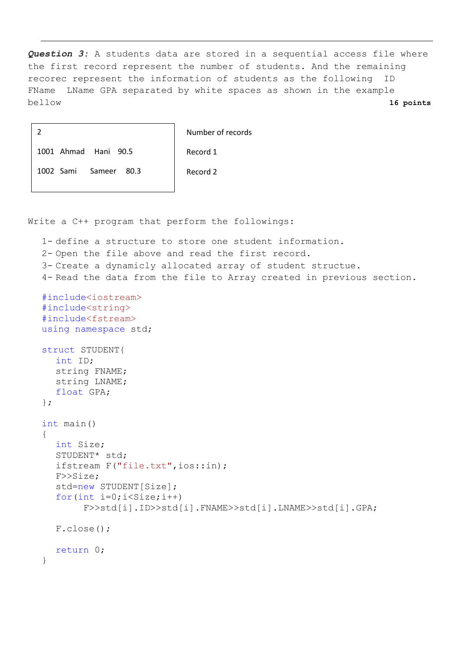*Question 3:* A students data are stored in a sequential access file where the first record represent the number of students. And the remaining recorec represent the information of students as the following ID FName LName GPA separated by white spaces as shown in the example bellow **16 points**

|                          | Number of records |
|--------------------------|-------------------|
| 1001 Ahmad Hani 90.5     | Record 1          |
| 1002 Sami Sameer<br>80.3 | Record 2          |

Write a C++ program that perform the followings:

```
1- define a structure to store one student information.
2- Open the file above and read the first record.
3- Create a dynamicly allocated array of student structue.
4- Read the data from the file to Array created in previous section.
#include<iostream>
#include<string>
#include<fstream>
using namespace std;
struct STUDENT{
  int ID;
  string FNAME;
  string LNAME;
  float GPA;
};
int main()
{
  int Size;
  STUDENT* std;
  ifstream F("file.txt",ios::in);
  F>>Size;
  std=new STUDENT[Size];
  for(int i=0; i(Size; i++)F>>std[i].ID>>std[i].FNAME>>std[i].LNAME>>std[i].GPA;
  F.close();
  return 0;
}
```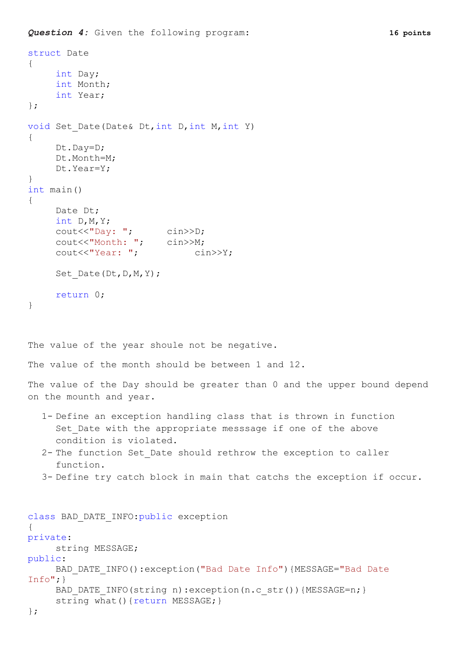```
Question 4: Given the following program: 16 points
```
};

```
struct Date
{
     int Day;
     int Month;
     int Year;
};
void Set Date(Date& Dt, int D, int M, int Y)
{
     Dt.Day=D;
     Dt.Month=M;
     Dt.Year=Y;
}
int main()
{
    Date Dt;
    int D,M,Y;
     cout<<"Day: "; cin>>D;
     cout<<"Month: "; cin>>M;
     cout<<"Year: "; cin>>Y;
     Set Date(Dt,D,M,Y);
    return 0;
}
The value of the year shoule not be negative.
The value of the month should be between 1 and 12.
The value of the Day should be greater than 0 and the upper bound depend 
on the mounth and year.
  1- Define an exception handling class that is thrown in function 
     Set Date with the appropriate messsage if one of the above
     condition is violated.
  2- The function Set_Date should rethrow the exception to caller 
     function.
  3- Define try catch block in main that catchs the exception if occur.
class BAD_DATE_INFO:public exception
{
private:
     string MESSAGE;
public:
     BAD DATE INFO():exception("Bad Date Info"){MESSAGE="Bad Date
Info";}
     BAD DATE INFO(string n):exception(n.c str()){MESSAGE=n;}
     string what() {return MESSAGE; }
```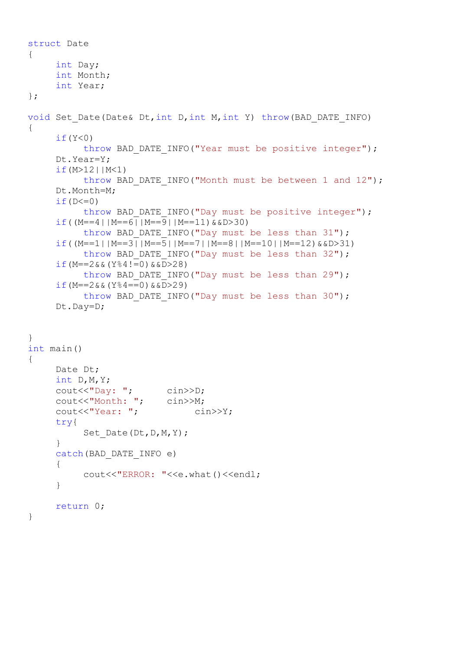```
struct Date
{
    int Day;
    int Month;
    int Year;
};
void Set Date(Date& Dt,int D,int M,int Y) throw(BAD DATE INFO)
{
     if(Y<0)throw BAD DATE INFO("Year must be positive integer");
     Dt.Year=Y;
     if (M>12 | M<1)throw BAD DATE INFO("Month must be between 1 and 12");
    Dt.Month=M;
     if(D<=0)throw BAD DATE INFO("Day must be positive integer");
     if((M==4||M==6||M==9||M==11)&&D>30)
          throw BAD DATE INFO("Day must be less than 31");
     if((M==1||M==3||M==5||M==7||M==8||M==10||M==12)&&D>31)
          throw BAD DATE INFO("Day must be less than 32");
     if(M==2&&(Y&84!=0)&&D>28)throw BAD DATE INFO("Day must be less than 29");
     if(M==2&(Y&94==0)&(20)throw BAD DATE INFO("Day must be less than 30");
     Dt.Day=D;
}
int main()
{
    Date Dt;
    int D,M,Y;
     cout<<"Day: "; cin>>D;
     cout<<"Month: "; cin>>M;
    cout<<"Year: "; cin>>Y;
    try{
          Set Date(Dt,D,M,Y);
     }
     catch(BAD_DATE_INFO e)
     {
          cout<<"ERROR: "<<e.what()<<endl;
     }
    return 0;
}
```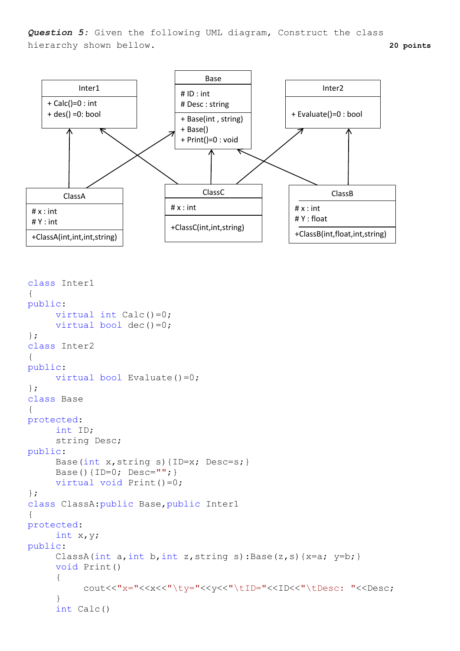*Question 5:* Given the following UML diagram, Construct the class hierarchy shown bellow. **20 points**



```
class Inter1
{
public:
     virtual int Calc() = 0;
     virtual bool dec()=0;
};
class Inter2
{
public:
     virtual bool Evaluate()=0;
};
class Base
{
protected:
     int ID;
     string Desc;
public:
     Base(int x,string s){ID=x; Desc=s;}
     Base(){ID=0; Desc=""; }
     virtual void Print()=0;
};
class ClassA:public Base,public Inter1
{
protected:
     int x,y;
public:
     ClassA(int a, int b, int z, string s): Base(z, s) {x=a; y=b; }
     void Print()
     {
          cout<<"x="<<x<<"\tv="<<v<"\tID="<<ID<<"\tDesc: "<<Desc;
     }
     int Calc()
```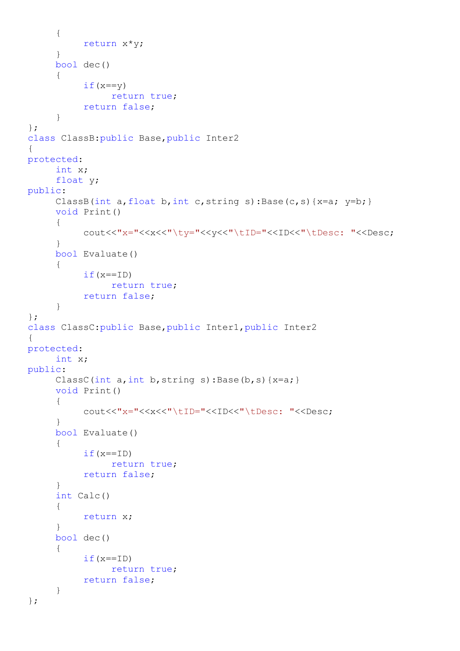```
{
          return x*y;
     }
     bool dec()
     {
          if(x==y)return true;
          return false;
     }
};
class ClassB:public Base,public Inter2
{
protected:
     int x;
     float y;
public:
     ClassB(int a, float b, int c, string s): Base(c, s) {x=a; y=b; }
     void Print()
     {
          cout<<"x="<<x<<"\ty="<<y<<"\tID="<<ID<<"\tDesc: "<<Desc;
     }
     bool Evaluate()
     {
          if(x==ID)
               return true;
          return false;
     }
};
class ClassC:public Base,public Inter1,public Inter2
{
protected:
     int x;
public:
     ClassC(int a, int b, string s): Base(b, s) {x=a; }
     void Print()
     {
          cout<<"x="<<x<<"\tID="<<ID<<"\tDesc: "<<Desc;
     }
     bool Evaluate()
     {
          if(x==ID)return true;
          return false;
     }
     int Calc()
     {
          return x;
     }
     bool dec()
     {
          if(x==ID)return true;
          return false;
     }
};
```